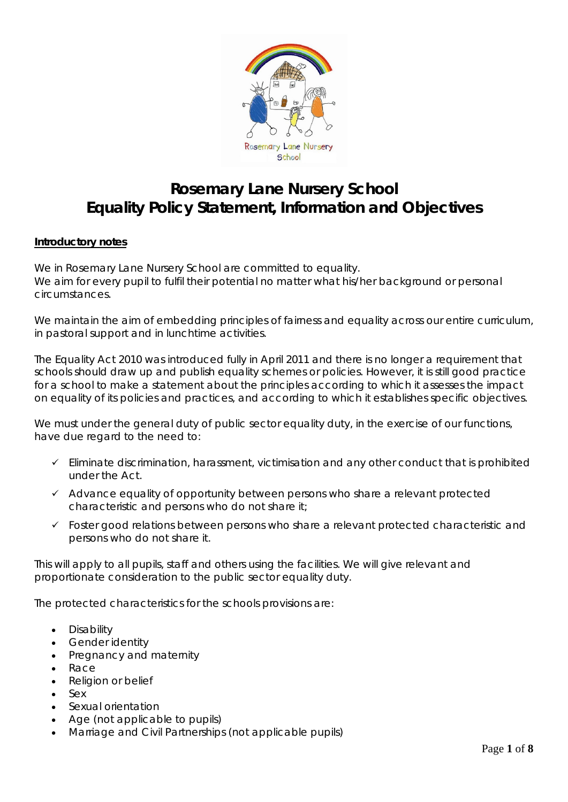

# **Rosemary Lane Nursery School Equality Policy Statement, Information and Objectives**

## *Introductory notes*

We in Rosemary Lane Nursery School are committed to equality. We aim for every pupil to fulfil their potential no matter what his/her background or personal circumstances.

We maintain the aim of embedding principles of fairness and equality across our entire curriculum, in pastoral support and in lunchtime activities.

The Equality Act 2010 was introduced fully in April 2011 and there is no longer a requirement that schools should draw up and publish equality schemes or policies. However, it is still good practice for a school to make a statement about the principles according to which it assesses the impact on equality of its policies and practices, and according to which it establishes specific objectives.

We must under the general duty of public sector equality duty, in the exercise of our functions, have due regard to the need to:

- $\checkmark$  Eliminate discrimination, harassment, victimisation and any other conduct that is prohibited under the Act.
- $\checkmark$  Advance equality of opportunity between persons who share a relevant protected characteristic and persons who do not share it;
- $\checkmark$  Foster good relations between persons who share a relevant protected characteristic and persons who do not share it.

This will apply to all pupils, staff and others using the facilities. We will give relevant and proportionate consideration to the public sector equality duty.

The protected characteristics for the schools provisions are:

- Disability
- Gender identity
- Pregnancy and maternity
- Race
- Religion or belief
- Sex
- Sexual orientation
- Age (not applicable to pupils)
- Marriage and Civil Partnerships (not applicable pupils)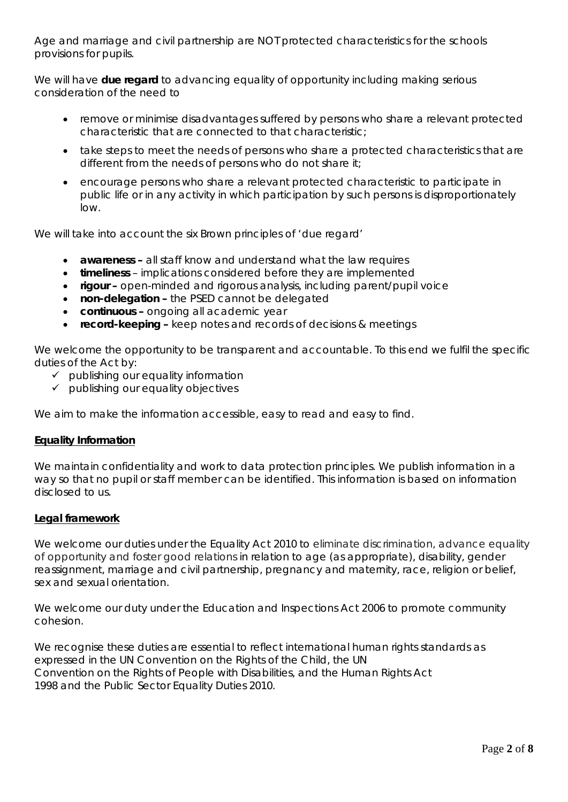Age and marriage and civil partnership are NOT protected characteristics for the schools provisions for pupils.

We will have **due regard** to advancing equality of opportunity including making serious consideration of the need to

- remove or minimise disadvantages suffered by persons who share a relevant protected characteristic that are connected to that characteristic;
- take steps to meet the needs of persons who share a protected characteristics that are different from the needs of persons who do not share it;
- encourage persons who share a relevant protected characteristic to participate in public life or in any activity in which participation by such persons is disproportionately low.

We will take into account the six Brown principles of 'due regard'

- **awareness** all staff know and understand what the law requires
- **timeliness**  implications considered before they are implemented
- **rigour –** open-minded and rigorous analysis, including parent/pupil voice
- **non-delegation –** the PSED cannot be delegated
- **continuous –** ongoing all academic year
- **record-keeping –** keep notes and records of decisions & meetings

We welcome the opportunity to be transparent and accountable. To this end we fulfil the specific duties of the Act by:

- $\checkmark$  publishing our equality information
- $\checkmark$  publishing our equality objectives

We aim to make the information accessible, easy to read and easy to find.

## *Equality Information*

We maintain confidentiality and work to data protection principles. We publish information in a way so that no pupil or staff member can be identified. This information is based on information disclosed to us.

## *Legal framework*

We welcome our duties under the Equality Act 2010 to eliminate discrimination, advance equality of opportunity and foster good relations in relation to age (as appropriate), disability, gender reassignment, marriage and civil partnership, pregnancy and maternity, race, religion or belief, sex and sexual orientation.

We welcome our duty under the Education and Inspections Act 2006 to promote community cohesion.

We recognise these duties are essential to reflect international human rights standards as expressed in the UN Convention on the Rights of the Child, the UN Convention on the Rights of People with Disabilities, and the Human Rights Act 1998 and the Public Sector Equality Duties 2010.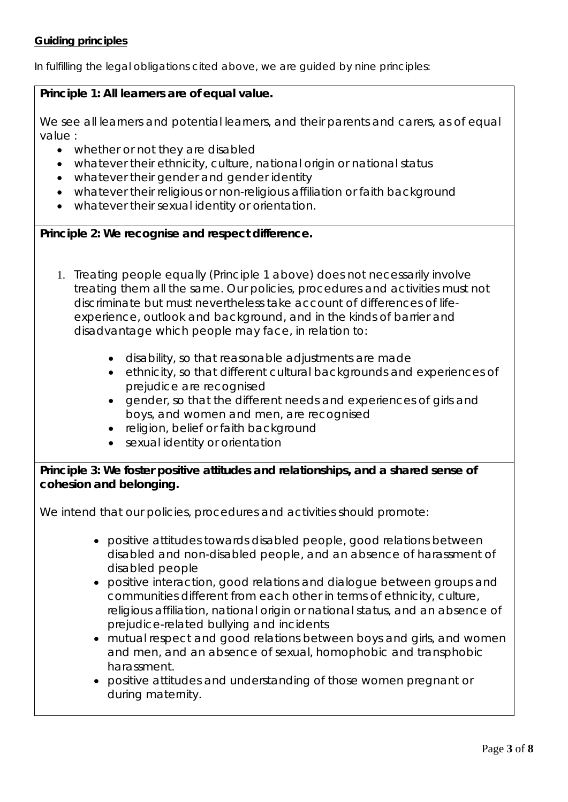## *Guiding principles*

In fulfilling the legal obligations cited above, we are guided by nine principles:

## **Principle 1: All learners are of equal value.**

We see all learners and potential learners, and their parents and carers, as of equal value :

- whether or not they are disabled
- whatever their ethnicity, culture, national origin or national status
- whatever their gender and gender identity
- whatever their religious or non-religious affiliation or faith background
- whatever their sexual identity or orientation.

# **Principle 2: We recognise and respect difference.**

- 1. Treating people equally (Principle 1 above) does not necessarily involve treating them all the same. Our policies, procedures and activities must not discriminate but must nevertheless take account of differences of lifeexperience, outlook and background, and in the kinds of barrier and disadvantage which people may face, in relation to:
	- disability, so that reasonable adjustments are made
	- ethnicity, so that different cultural backgrounds and experiences of prejudice are recognised
	- gender, so that the different needs and experiences of girls and boys, and women and men, are recognised
	- religion, belief or faith background
	- sexual identity or orientation

# **Principle 3: We foster positive attitudes and relationships, and a shared sense of cohesion and belonging.**

We intend that our policies, procedures and activities should promote:

- positive attitudes towards disabled people, good relations between disabled and non-disabled people, and an absence of harassment of disabled people
- positive interaction, good relations and dialogue between groups and communities different from each other in terms of ethnicity, culture, religious affiliation, national origin or national status, and an absence of prejudice-related bullying and incidents
- mutual respect and good relations between boys and girls, and women and men, and an absence of sexual, homophobic and transphobic harassment.
- positive attitudes and understanding of those women pregnant or during maternity.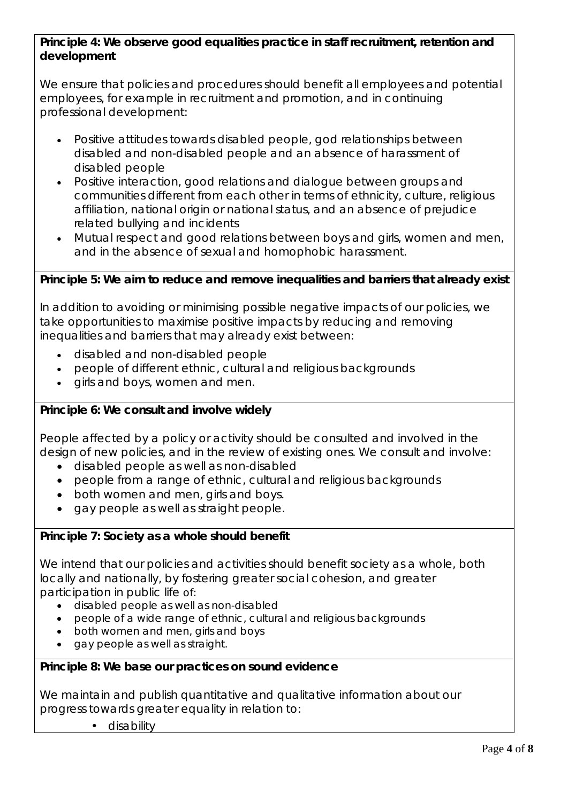# **Principle 4: We observe good equalities practice in staff recruitment, retention and development**

We ensure that policies and procedures should benefit all employees and potential employees, for example in recruitment and promotion, and in continuing professional development:

- Positive attitudes towards disabled people, god relationships between disabled and non-disabled people and an absence of harassment of disabled people
- Positive interaction, good relations and dialogue between groups and communities different from each other in terms of ethnicity, culture, religious affiliation, national origin or national status, and an absence of prejudice related bullying and incidents
- Mutual respect and good relations between boys and girls, women and men, and in the absence of sexual and homophobic harassment.

# **Principle 5: We aim to reduce and remove inequalities and barriers that already exist**

In addition to avoiding or minimising possible negative impacts of our policies, we take opportunities to maximise positive impacts by reducing and removing inequalities and barriers that may already exist between:

- disabled and non-disabled people
- people of different ethnic, cultural and religious backgrounds
- girls and boys, women and men.

# **Principle 6: We consult and involve widely**

People affected by a policy or activity should be consulted and involved in the design of new policies, and in the review of existing ones. We consult and involve:

- disabled people as well as non-disabled
- people from a range of ethnic, cultural and religious backgrounds
- both women and men, girls and boys.
- gay people as well as straight people.

# **Principle 7: Society as a whole should benefit**

We intend that our policies and activities should benefit society as a whole, both locally and nationally, by fostering greater social cohesion, and greater participation in public life of:

- disabled people as well as non-disabled
- people of a wide range of ethnic, cultural and religious backgrounds
- both women and men, girls and boys
- gay people as well as straight.

# **Principle 8: We base our practices on sound evidence**

We maintain and publish quantitative and qualitative information about our progress towards greater equality in relation to:

• disability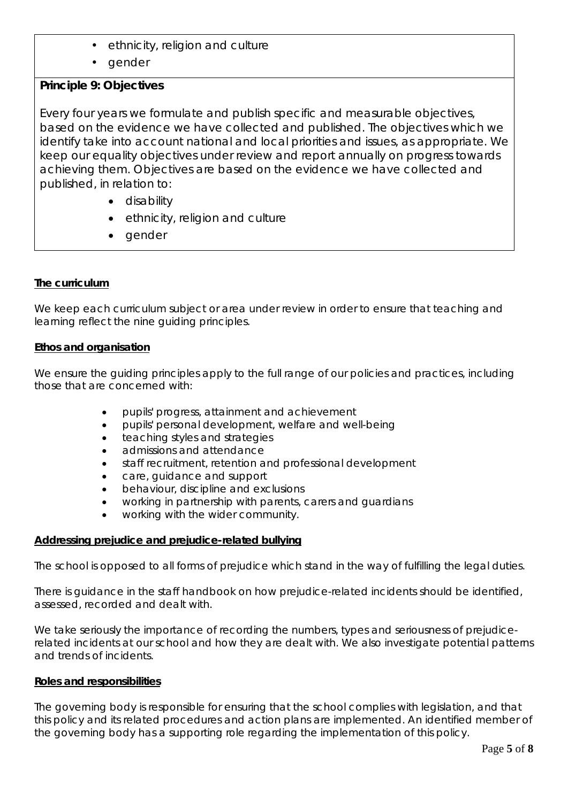- ethnicity, religion and culture
- gender

# **Principle 9: Objectives**

Every four years we formulate and publish specific and measurable objectives, based on the evidence we have collected and published. The objectives which we identify take into account national and local priorities and issues, as appropriate. We keep our equality objectives under review and report annually on progress towards achieving them. Objectives are based on the evidence we have collected and published, in relation to:

- disability
- ethnicity, religion and culture
- gender

## *The curriculum*

We keep each curriculum subject or area under review in order to ensure that teaching and learning reflect the nine guiding principles.

## *Ethos and organisation*

We ensure the guiding principles apply to the full range of our policies and practices, including those that are concerned with:

- pupils' progress, attainment and achievement
- pupils' personal development, welfare and well-being
- teaching styles and strategies
- admissions and attendance
- staff recruitment, retention and professional development
- care, guidance and support
- behaviour, discipline and exclusions
- working in partnership with parents, carers and guardians
- working with the wider community.

## *Addressing prejudice and prejudice-related bullying*

The school is opposed to all forms of prejudice which stand in the way of fulfilling the legal duties.

There is guidance in the staff handbook on how prejudice-related incidents should be identified, assessed, recorded and dealt with.

We take seriously the importance of recording the numbers, types and seriousness of prejudicerelated incidents at our school and how they are dealt with. We also investigate potential patterns and trends of incidents.

## *Roles and responsibilities*

The governing body is responsible for ensuring that the school complies with legislation, and that this policy and its related procedures and action plans are implemented. An identified member of the governing body has a supporting role regarding the implementation of this policy.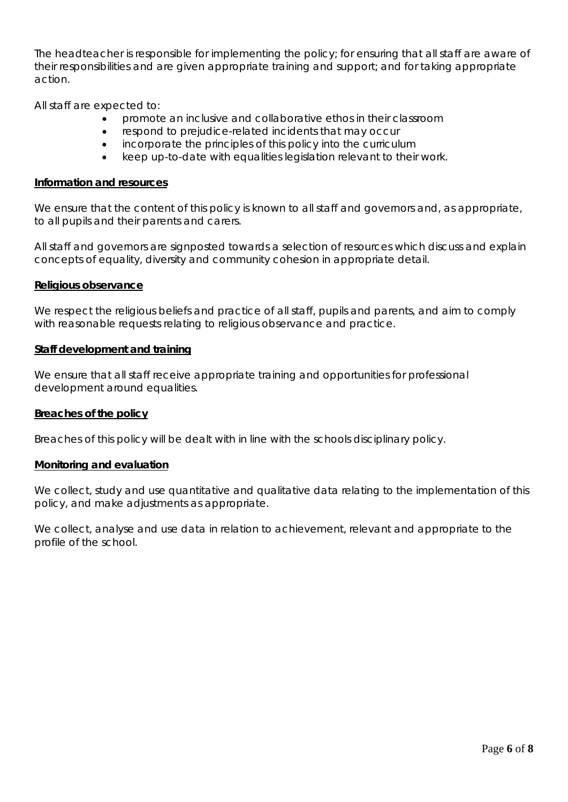The headteacher is responsible for implementing the policy; for ensuring that all staff are aware of their responsibilities and are given appropriate training and support; and for taking appropriate action.

All staff are expected to:

- promote an inclusive and collaborative ethos in their classroom
- respond to prejudice-related incidents that may occur
- incorporate the principles of this policy into the curriculum
- keep up-to-date with equalities legislation relevant to their work.

## *Information and resources*

We ensure that the content of this policy is known to all staff and governors and, as appropriate, to all pupils and their parents and carers.

All staff and governors are signposted towards a selection of resources which discuss and explain concepts of equality, diversity and community cohesion in appropriate detail.

#### *Religious observance*

We respect the religious beliefs and practice of all staff, pupils and parents, and aim to comply with reasonable requests relating to religious observance and practice.

#### *Staff development and training*

We ensure that all staff receive appropriate training and opportunities for professional development around equalities.

## *Breaches of the policy*

Breaches of this policy will be dealt with in line with the schools disciplinary policy.

## *Monitoring and evaluation*

We collect, study and use quantitative and qualitative data relating to the implementation of this policy, and make adjustments as appropriate.

We collect, analyse and use data in relation to achievement, relevant and appropriate to the profile of the school.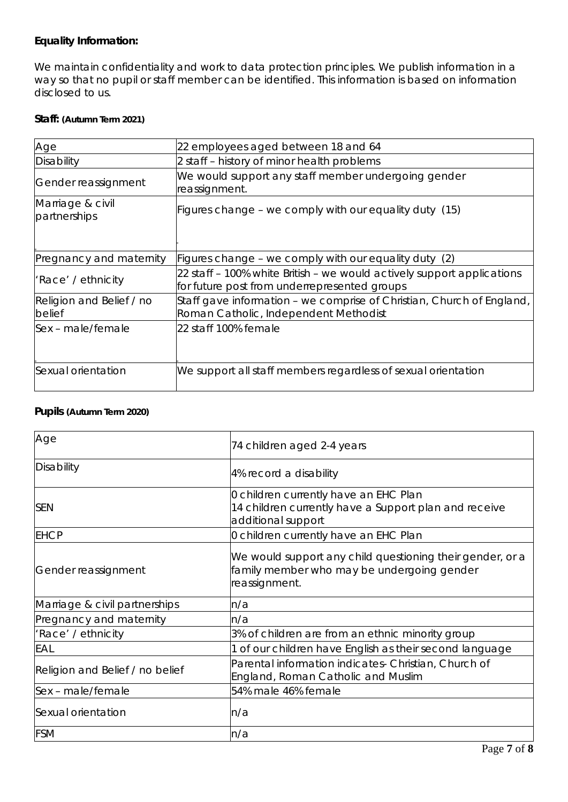## **Equality Information:**

We maintain confidentiality and work to data protection principles. We publish information in a way so that no pupil or staff member can be identified. This information is based on information disclosed to us.

## **Staff: (Autumn Term 2021)**

| Age                                | 22 employees aged between 18 and 64                                                                                    |  |
|------------------------------------|------------------------------------------------------------------------------------------------------------------------|--|
| Disability                         | 2 staff – history of minor health problems                                                                             |  |
| Gender reassignment                | We would support any staff member undergoing gender<br>reassignment.                                                   |  |
| Marriage & civil<br>partnerships   | Figures change - we comply with our equality duty (15)                                                                 |  |
| Pregnancy and maternity            | Figures change – we comply with our equality duty (2)                                                                  |  |
| 'Race' / ethnicity                 | 22 staff – 100% white British – we would actively support applications<br>for future post from underrepresented groups |  |
| Religion and Belief / no<br>belief | Staff gave information - we comprise of Christian, Church of England,<br>Roman Catholic, Independent Methodist         |  |
| Sex - male/female                  | 22 staff 100% female                                                                                                   |  |
| Sexual orientation                 | We support all staff members regardless of sexual orientation                                                          |  |

## **Pupils (Autumn Term 2020)**

| Age                             | 74 children aged 2-4 years                                                                                               |
|---------------------------------|--------------------------------------------------------------------------------------------------------------------------|
| Disability                      | 4% record a disability                                                                                                   |
| <b>SEN</b>                      | 0 children currently have an EHC Plan<br>14 children currently have a Support plan and receive<br>additional support     |
| <b>EHCP</b>                     | 0 children currently have an EHC Plan                                                                                    |
| Gender reassignment             | We would support any child questioning their gender, or a<br>family member who may be undergoing gender<br>reassignment. |
| Marriage & civil partnerships   | n/a                                                                                                                      |
| Pregnancy and maternity         | n/a                                                                                                                      |
| 'Race' / ethnicity              | 3% of children are from an ethnic minority group                                                                         |
| <b>EAL</b>                      | 1 of our children have English as their second language                                                                  |
| Religion and Belief / no belief | Parental information indicates- Christian, Church of<br>England, Roman Catholic and Muslim                               |
| Sex - male/female               | 54% male 46% female                                                                                                      |
| Sexual orientation              | n/a                                                                                                                      |
| <b>FSM</b>                      | n/a                                                                                                                      |